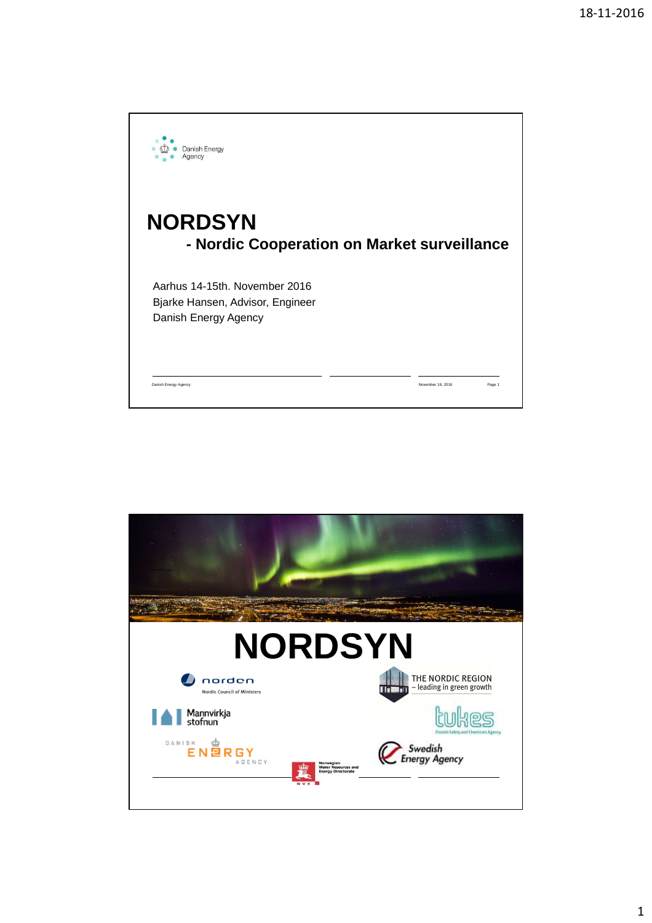

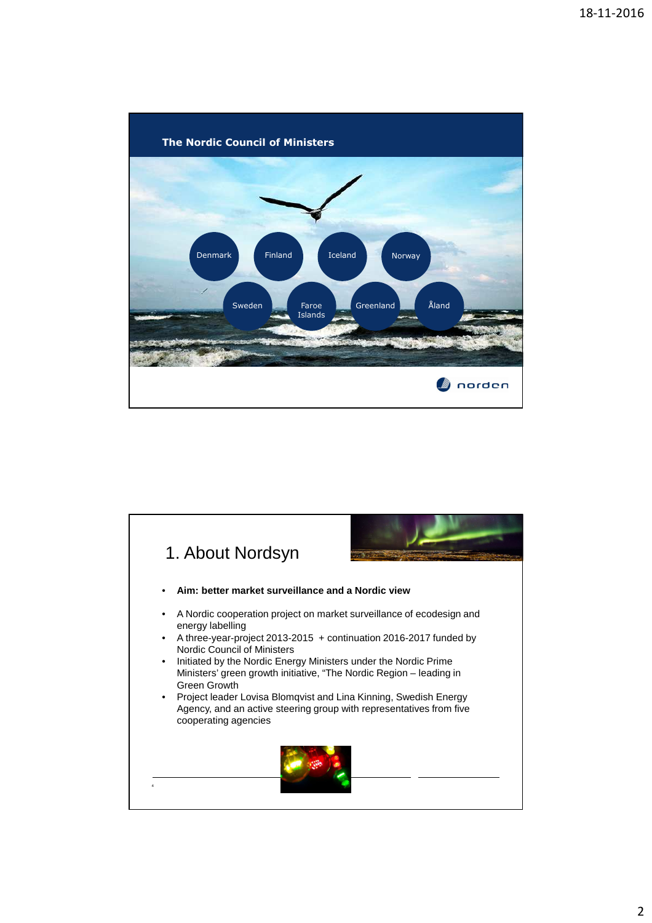

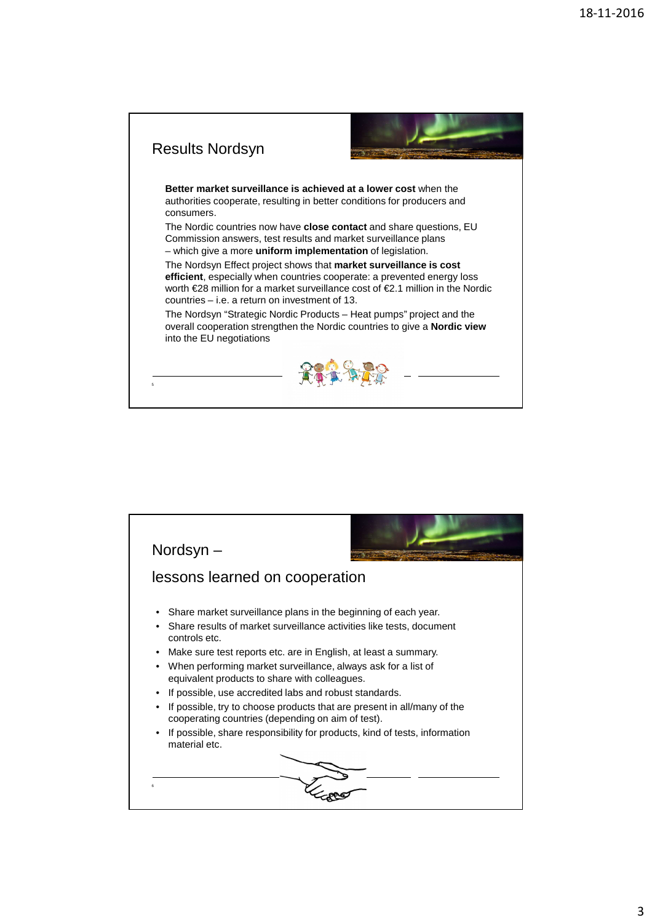

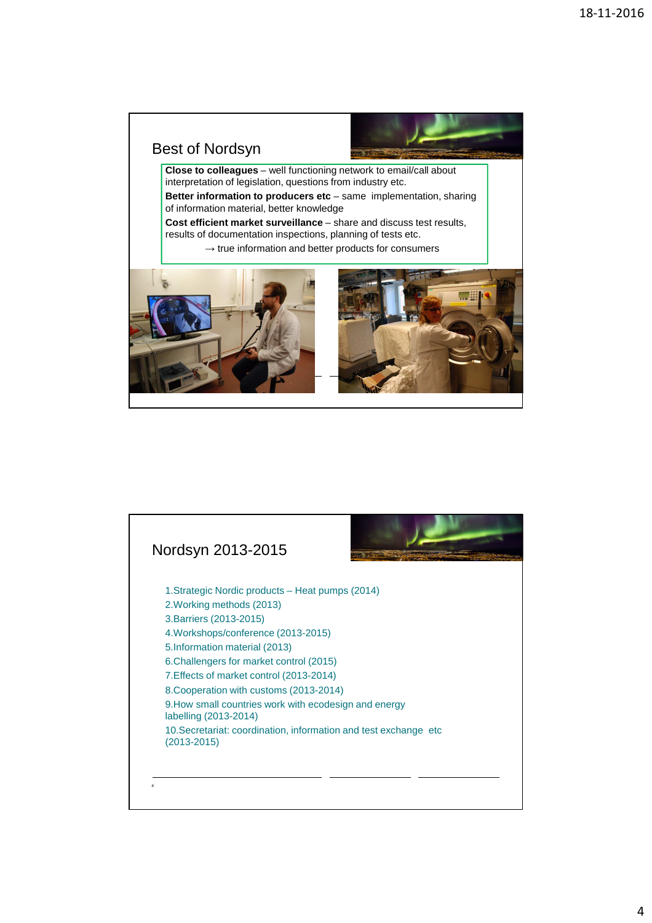

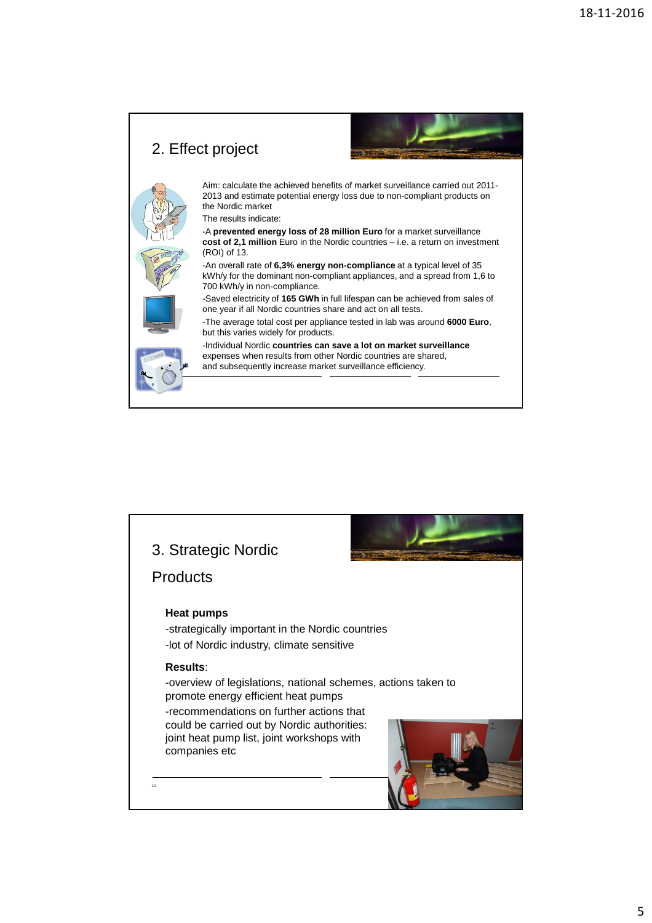

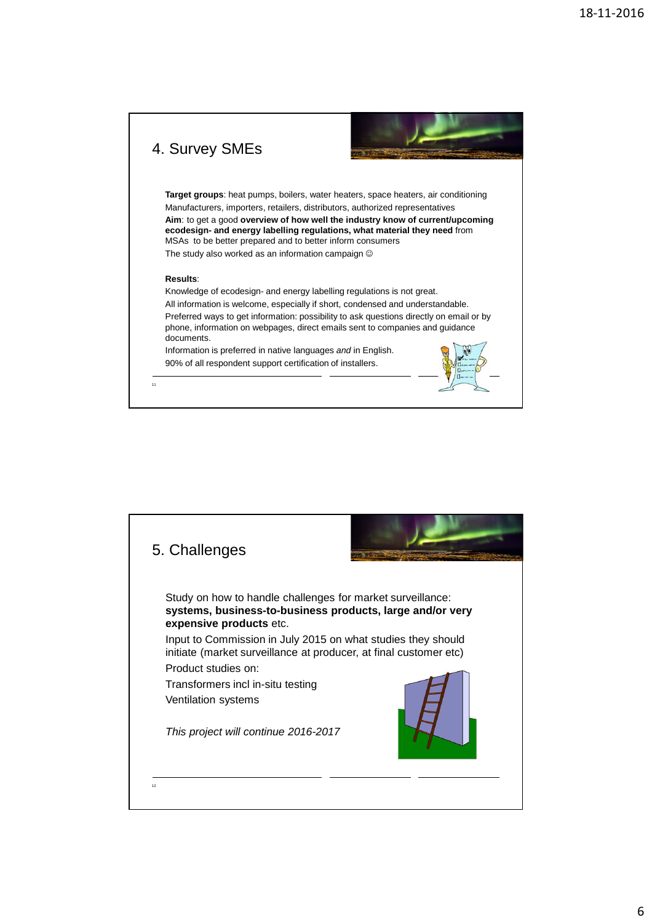

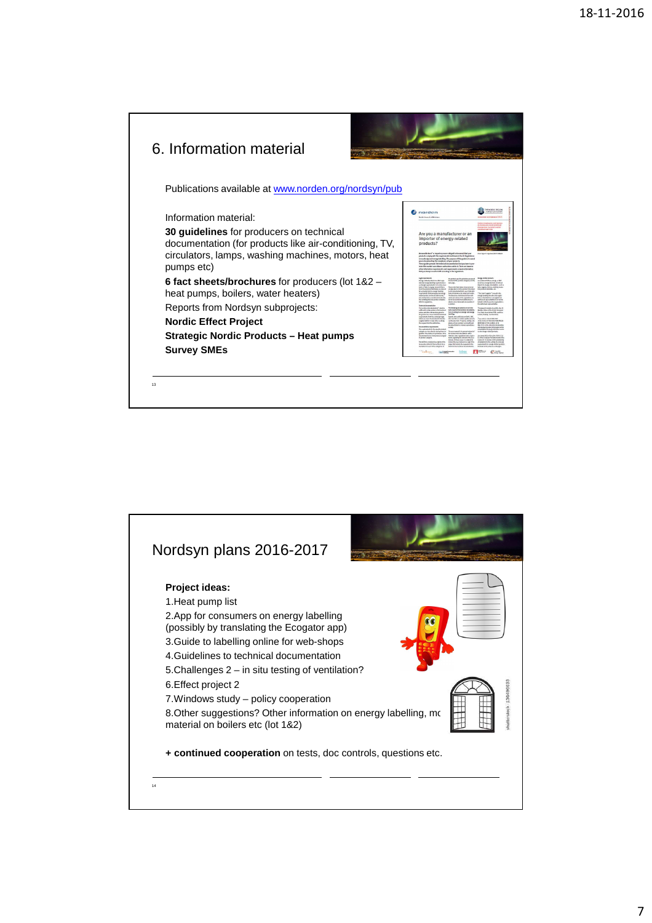